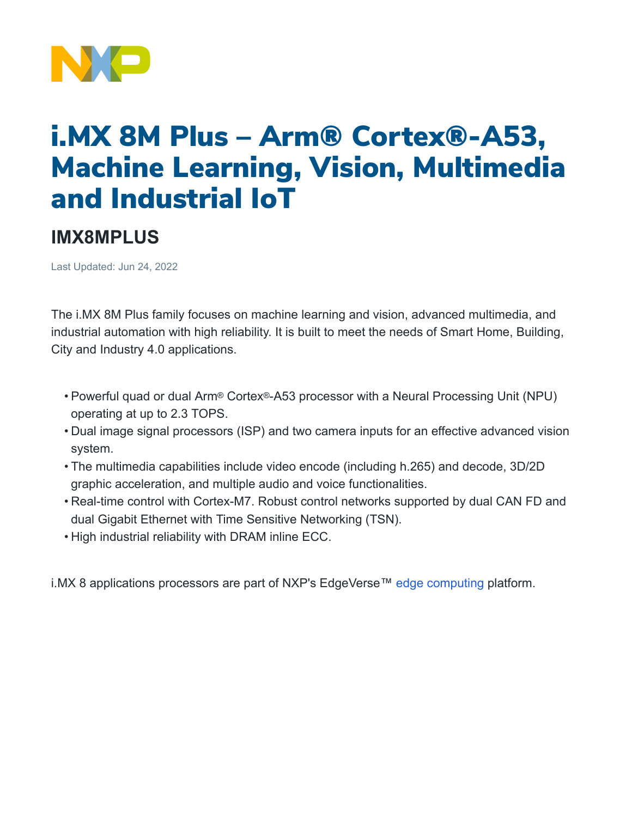

## i.MX 8M Plus – Arm® Cortex®-A53, Machine Learning, Vision, Multimedia and Industrial IoT

## **IMX8MPLUS**

Last Updated: Jun 24, 2022

The i.MX 8M Plus family focuses on machine learning and vision, advanced multimedia, and industrial automation with high reliability. It is built to meet the needs of Smart Home, Building, City and Industry 4.0 applications.

- Powerful quad or dual Arm® Cortex®-A53 processor with a Neural Processing Unit (NPU) operating at up to 2.3 TOPS.
- Dual image signal processors (ISP) and two camera inputs for an effective advanced vision system.
- The multimedia capabilities include video encode (including h.265) and decode, 3D/2D graphic acceleration, and multiple audio and voice functionalities.
- Real-time control with Cortex-M7. Robust control networks supported by dual CAN FD and dual Gigabit Ethernet with Time Sensitive Networking (TSN).
- High industrial reliability with DRAM inline ECC.

i.MX 8 applications processors are part of NXP's EdgeVerse™ [edge computing](https://www.nxp.com/applications/enabling-technologies/edge-computing:EDGE-COMPUTING) platform.